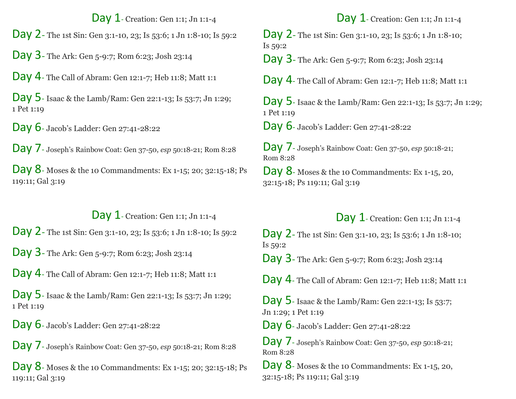#### Day 1- Creation: Gen 1:1; Jn 1:1-4

Day 2- The 1st Sin: Gen 3:1-10, 23; Is 53:6; 1 Jn 1:8-10; Is 59:2

Day 3- The Ark: Gen 5-9:7; Rom 6:23; Josh 23:14

Day 4- The Call of Abram: Gen 12:1-7; Heb 11:8; Matt 1:1

Day 5- Isaac & the Lamb/Ram: Gen 22:1-13; Is 53:7; Jn 1:29; 1 Pet 1:19

Day 6- Jacob's Ladder: Gen 27:41-28:22

Day 7- Joseph's Rainbow Coat: Gen 37-50, *esp* 50:18-21; Rom 8:28

Day 8- Moses & the 10 Commandments: Ex 1-15; 20; 32:15-18; Ps 119:11; Gal 3:19

## Day 1- Creation: Gen 1:1; Jn 1:1-4

Day 2- The 1st Sin: Gen 3:1-10, 23; Is 53:6; 1 Jn 1:8-10; Is 59:2

Day 3- The Ark: Gen 5-9:7; Rom 6:23; Josh 23:14

Day 4- The Call of Abram: Gen 12:1-7; Heb 11:8; Matt 1:1

Day 5- Isaac & the Lamb/Ram: Gen 22:1-13; Is 53:7; Jn 1:29; 1 Pet 1:19

Day 6- Jacob's Ladder: Gen 27:41-28:22

Day 7- Joseph's Rainbow Coat: Gen 37-50, *esp* 50:18-21; Rom 8:28

Day 8- Moses & the 10 Commandments: Ex 1-15; 20; 32:15-18; Ps 119:11; Gal 3:19

# Day 1- Creation: Gen 1:1; Jn 1:1-4

Day 2- The 1st Sin: Gen 3:1-10, 23; Is 53:6; 1 Jn 1:8-10; Is 59:2

Day 3- The Ark: Gen 5-9:7; Rom 6:23; Josh 23:14

Day 4- The Call of Abram: Gen 12:1-7; Heb 11:8; Matt 1:1

Day 5- Isaac & the Lamb/Ram: Gen 22:1-13; Is 53:7; Jn 1:29; 1 Pet 1:19

Day 6- Jacob's Ladder: Gen 27:41-28:22

Day 7- Joseph's Rainbow Coat: Gen 37-50, *esp* 50:18-21; Rom 8:28

Day 8- Moses & the 10 Commandments: Ex 1-15, 20, 32:15-18; Ps 119:11; Gal 3:19

## Day 1- Creation: Gen 1:1; Jn 1:1-4

Day 2- The 1st Sin: Gen 3:1-10, 23; Is 53:6; 1 Jn 1:8-10; Is 59:2

Day 3- The Ark: Gen 5-9:7; Rom 6:23; Josh 23:14

Day 4- The Call of Abram: Gen 12:1-7; Heb 11:8; Matt 1:1

Day 5- Isaac & the Lamb/Ram: Gen 22:1-13; Is 53:7; Jn 1:29; 1 Pet 1:19

Day 6- Jacob's Ladder: Gen 27:41-28:22

Day 7- Joseph's Rainbow Coat: Gen 37-50, *esp* 50:18-21; Rom 8:28

Day 8- Moses & the 10 Commandments: Ex 1-15, 20, 32:15-18; Ps 119:11; Gal 3:19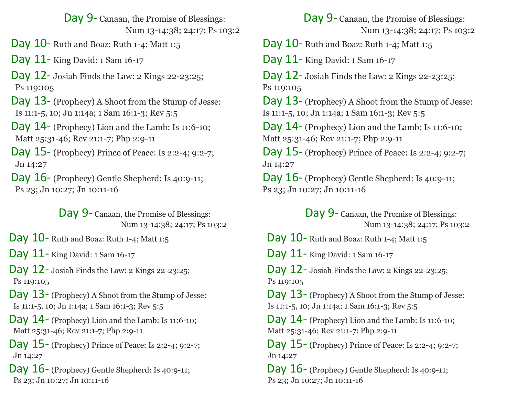Day 9- Canaan, the Promise of Blessings: Num 13-14:38; 24:17; Ps 103:2

Day 10- Ruth and Boaz: Ruth 1-4; Matt 1:5

Day 11- King David: 1 Sam 16-17

Day 12- Josiah Finds the Law: 2 Kings 22-23:25; Ps 119:105

 Day 13- (Prophecy) A Shoot from the Stump of Jesse: Is 11:1-5, 10; Jn 1:14a; 1 Sam 16:1-3; Rev 5:5

 Day 14- (Prophecy) Lion and the Lamb: Is 11:6-10; Matt 25:31-46; Rev 21:1-7; Php 2:9-11

 Day 15- (Prophecy) Prince of Peace: Is 2:2-4; 9:2-7; Jn 14:27

 Day 16- (Prophecy) Gentle Shepherd: Is 40:9-11; Ps 23; Jn 10:27; Jn 10:11-16

> Day 9- Canaan, the Promise of Blessings: Num 13-14:38; 24:17; Ps 103:2

Day 10 - Ruth and Boaz: Ruth 1-4; Matt 1:5

Day 11- King David: 1 Sam 16-17

Day 12- Josiah Finds the Law: 2 Kings 22-23:25; Ps 119:105

 Day 13- (Prophecy) A Shoot from the Stump of Jesse: Is 11:1-5, 10; Jn 1:14a; 1 Sam 16:1-3; Rev 5:5

 Day 14- (Prophecy) Lion and the Lamb: Is 11:6-10; Matt 25:31-46; Rev 21:1-7; Php 2:9-11

 Day 15- (Prophecy) Prince of Peace: Is 2:2-4; 9:2-7; Jn 14:27

Day 16- (Prophecy) Gentle Shepherd: Is 40:9-11; Ps 23; Jn 10:27; Jn 10:11-16

Day 9- Canaan, the Promise of Blessings: Num 13-14:38; 24:17; Ps 103:2

Day 10- Ruth and Boaz: Ruth 1-4; Matt 1:5

Day 11- King David: 1 Sam 16-17

Day 12- Josiah Finds the Law: 2 Kings 22-23:25; Ps 119:105

Day 13- (Prophecy) A Shoot from the Stump of Jesse: Is 11:1-5, 10; Jn 1:14a; 1 Sam 16:1-3; Rev 5:5

Day 14- (Prophecy) Lion and the Lamb: Is 11:6-10; Matt 25:31-46; Rev 21:1-7; Php 2:9-11

Day 15- (Prophecy) Prince of Peace: Is 2:2-4; 9:2-7; Jn 14:27

Day 16- (Prophecy) Gentle Shepherd: Is 40:9-11; Ps 23; Jn 10:27; Jn 10:11-16

> Day 9- Canaan, the Promise of Blessings: Num 13-14:38; 24:17; Ps 103:2

Day 10 - Ruth and Boaz: Ruth 1-4; Matt 1:5

Day 11- King David: 1 Sam 16-17

Day 12- Josiah Finds the Law: 2 Kings 22-23:25; Ps 119:105

 Day 13- (Prophecy) A Shoot from the Stump of Jesse: Is 11:1-5, 10; Jn 1:14a; 1 Sam 16:1-3; Rev 5:5

 Day 14- (Prophecy) Lion and the Lamb: Is 11:6-10; Matt 25:31-46; Rev 21:1-7; Php 2:9-11

 Day 15- (Prophecy) Prince of Peace: Is 2:2-4; 9:2-7; Jn 14:27

Day 16- (Prophecy) Gentle Shepherd: Is 40:9-11; Ps 23; Jn 10:27; Jn 10:11-16